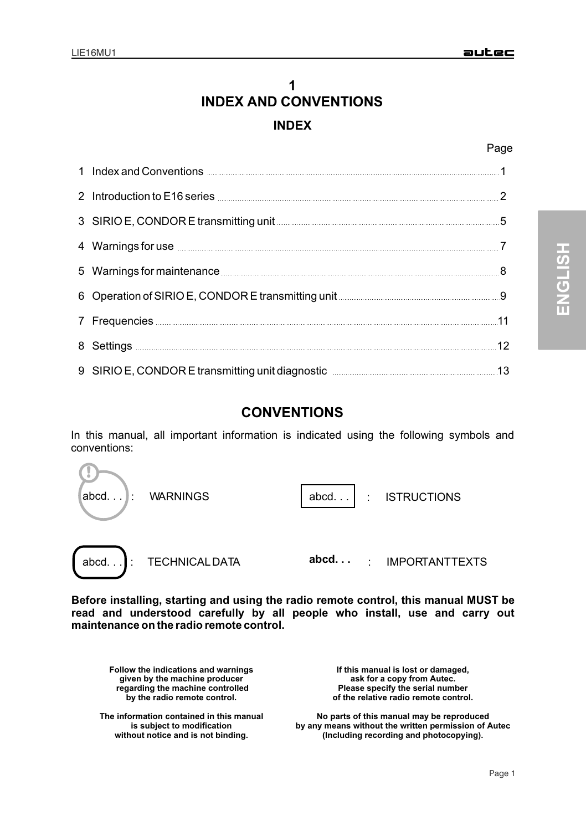# **1 INDEX INDEX AND CONVENTIONS**

#### Page

| 1 Index and Conventions <b>Conventions</b> 1                                                                                                                                                                                        |    |
|-------------------------------------------------------------------------------------------------------------------------------------------------------------------------------------------------------------------------------------|----|
| 2 Introduction to E16 series <b>Manual According to E16</b> series 2                                                                                                                                                                |    |
| 3 SIRIO E, CONDOR E transmitting unit 40 million and the state of the 5                                                                                                                                                             |    |
| 4 Warnings for use <b>contract to the contract of the Contract of T</b>                                                                                                                                                             |    |
|                                                                                                                                                                                                                                     | 8  |
| 6 Operation of SIRIO E, CONDOR E transmitting unit <b>CONDOR</b> 2014                                                                                                                                                               |    |
| 7 Frequencies <b>Constitution of the Constitution of the Constitution</b> of the Constitution of the Constitution of the Constitution of the Constitution of the Constitution of the Constitution of the Constitution of the Consti | 11 |
|                                                                                                                                                                                                                                     | 12 |
| 9 SIRIO E, CONDOR E transmitting unit diagnostic <b>Constanting</b> 13                                                                                                                                                              |    |

## **CONVENTIONS**

In this manual, all important information is indicated using the following symbols and conventions:



**Before installing, starting and using the radio remote control, this manual MUST be read and understood carefully by all people who install, use and carry out maintenance on the radio remote control.**

**Follow the indications and warnings given by the machine producer regarding the machine controlled by the radio remote control.**

**The information contained in this manual is subject to modification without notice and is not binding.**

**If this manual is lost or damaged, ask for a copy from Autec. Please specify the serial number of the relative radio remote control.**

**No parts of this manual may be reproduced by any means without the written permission of Autec (Including recording and photocopying).**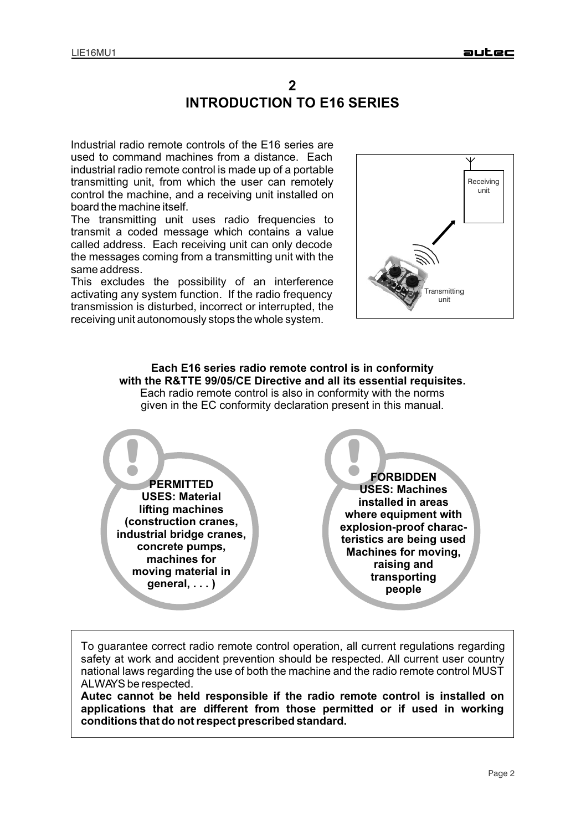## **2 INTRODUCTION TO E16 SERIES**

Industrial radio remote controls of the E16 series are used to command machines from a distance. Each industrial radio remote control is made up of a portable transmitting unit, from which the user can remotely control the machine, and a receiving unit installed on board the machine itself.

The transmitting unit uses radio frequencies to transmit a coded message which contains a value called address. Each receiving unit can only decode the messages coming from a transmitting unit with the same address.

This excludes the possibility of an interference activating any system function. If the radio frequency transmission is disturbed, incorrect or interrupted, the receiving unit autonomously stops the whole system.



**Each E16 series radio remote control is in conformity with the R&TTE 99/05/CE Directive and all its essential requisites.**  Each radio remote control is also in conformity with the norms given in the EC conformity declaration present in this manual.



To guarantee correct radio remote control operation, all current regulations regarding safety at work and accident prevention should be respected. All current user country national laws regarding the use of both the machine and the radio remote control MUST ALWAYS be respected.

**Autec cannot be held responsible if the radio remote control is installed on applications that are different from those permitted or if used in working conditions that do not respect prescribed standard.**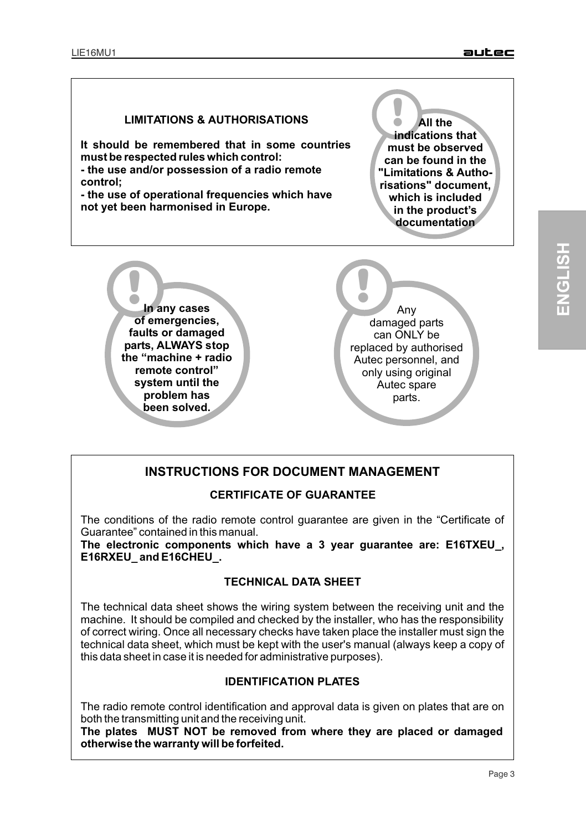#### **LIMITATIONS & AUTHORISATIONS**

**It should be remembered that in some countries must be respected rules which control: - the use and/or possession of a radio remote control;**

**- the use of operational frequencies which have not yet been harmonised in Europe.**

! **All the indications that must be observed can be found in the "Limitations & Authorisations" document, which is included in the product's documentation**



## **INSTRUCTIONS FOR DOCUMENT MANAGEMENT**

#### **CERTIFICATE OF GUARANTEE**

The conditions of the radio remote control guarantee are given in the "Certificate of Guarantee" contained in this manual.

**The electronic components which have a 3 year guarantee are: E16TXEU\_, E16RXEU\_ and E16CHEU\_.**

#### **TECHNICAL DATA SHEET**

The technical data sheet shows the wiring system between the receiving unit and the machine. It should be compiled and checked by the installer, who has the responsibility of correct wiring. Once all necessary checks have taken place the installer must sign the technical data sheet, which must be kept with the user's manual (always keep a copy of this data sheet in case it is needed for administrative purposes).

#### **IDENTIFICATION PLATES**

The radio remote control identification and approval data is given on plates that are on both the transmitting unit and the receiving unit.

**The plates MUST NOT be removed from where they are placed or damaged otherwise the warranty will be forfeited.**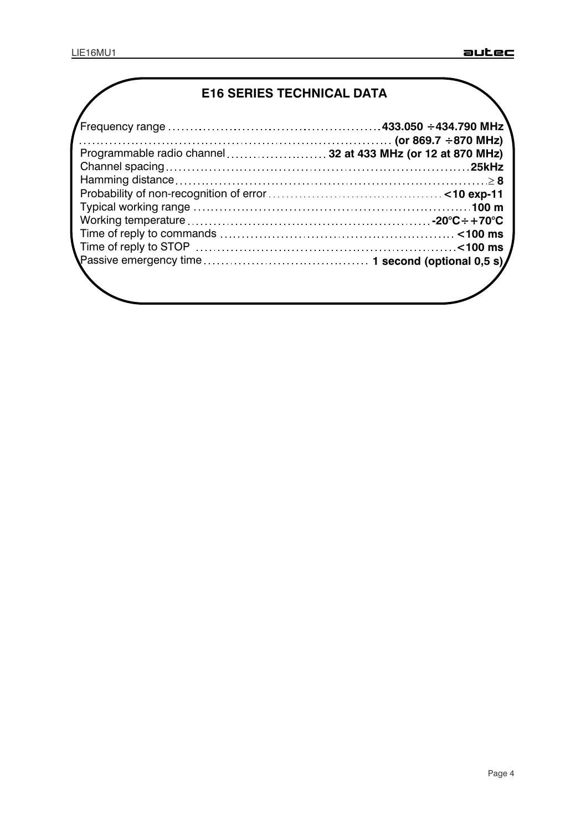# **E16 SERIES TECHNICAL DATA**

| /<br>Frequency range …………………………………………433.050 ÷434.790 MHz    |  |  |
|--------------------------------------------------------------|--|--|
|                                                              |  |  |
| Programmable radio channel  32 at 433 MHz (or 12 at 870 MHz) |  |  |
|                                                              |  |  |
|                                                              |  |  |
|                                                              |  |  |
|                                                              |  |  |
|                                                              |  |  |
|                                                              |  |  |
|                                                              |  |  |
|                                                              |  |  |
|                                                              |  |  |
|                                                              |  |  |
|                                                              |  |  |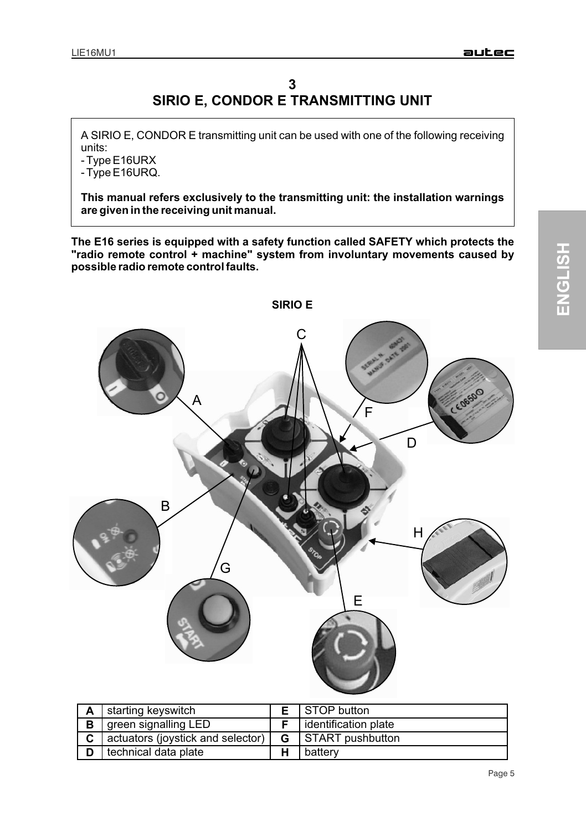## **3 SIRIO E, CONDOR E TRANSMITTING UNIT**

A SIRIO E, CONDOR E transmitting unit can be used with one of the following receiving units:

- Type E16URX

- Type E16URQ.

**This manual refers exclusively to the transmitting unit: the installation warnings are given in the receiving unit manual.**

**The E16 series is equipped with a safety function called SAFETY which protects the "radio remote control + machine" system from involuntary movements caused by possible radio remote control faults.**



| A | starting keyswitch                |    | STOP button            |
|---|-----------------------------------|----|------------------------|
| B | green signalling LED              |    | l identification plate |
| C | actuators (joystick and selector) | G. | START pushbutton       |
|   | technical data plate              | ш  | battery                |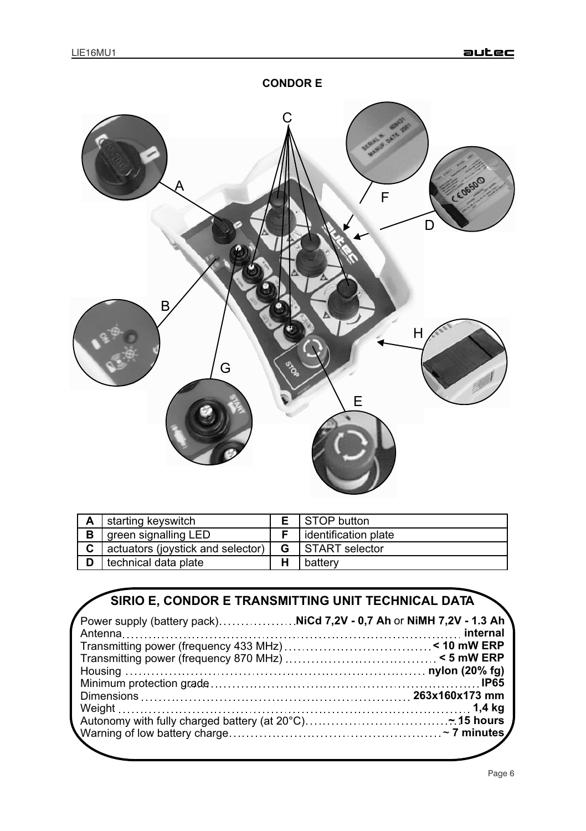

| А | starting keyswitch                |   | STOP button          |
|---|-----------------------------------|---|----------------------|
| В | green signalling LED              |   | identification plate |
| C | actuators (joystick and selector) | G | START selector       |
|   | technical data plate              |   | battery              |

# **SIRIO E, CONDOR E TRANSMITTING UNIT TECHNICAL DATA**

| $\prime$ Power supply (battery pack)………………NiCd 7,2V - 0,7 Ah or NiMH 7,2V - 1.3 Ah $^{\prime}$ |  |
|------------------------------------------------------------------------------------------------|--|
|                                                                                                |  |
|                                                                                                |  |
|                                                                                                |  |
|                                                                                                |  |
|                                                                                                |  |
|                                                                                                |  |
|                                                                                                |  |
|                                                                                                |  |
|                                                                                                |  |
|                                                                                                |  |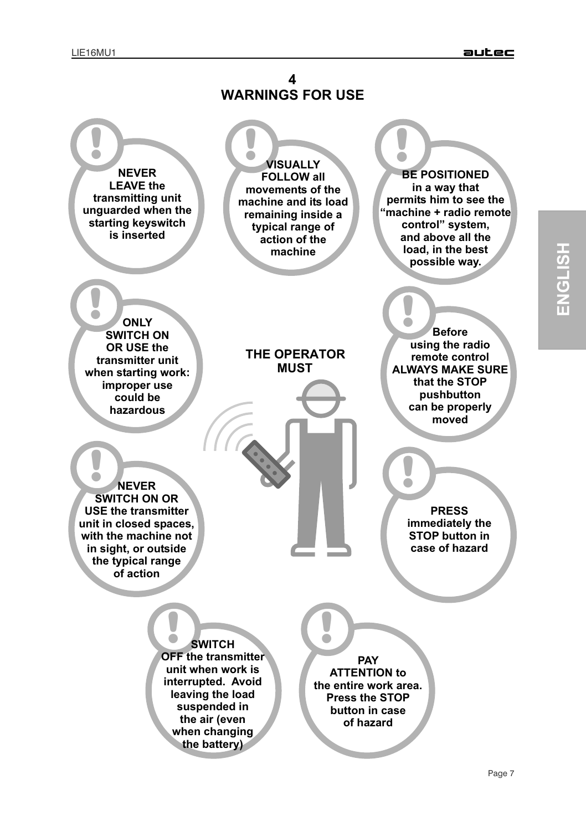**ENGLIS H**

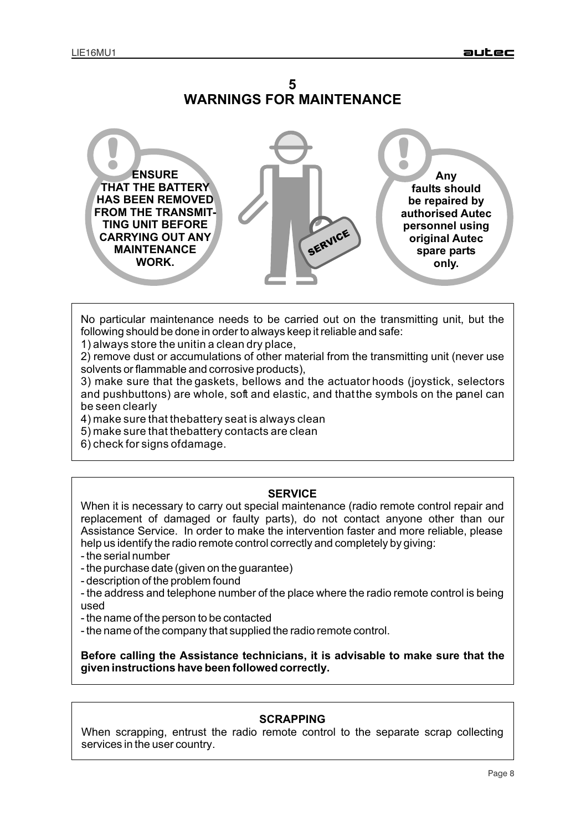



No particular maintenance needs to be carried out on the transmitting unit, but the following should be done in order to always keep it reliable and safe:

1) always store the unitin a clean dry place,

2) remove dust or accumulations of other material from the transmitting unit (never use solvents or flammable and corrosive products),

3) make sure that the gaskets, bellows and the actuator hoods (joystick, selectors and pushbuttons) are whole, soft and elastic, and that the symbols on the panel can be seen clearly

4) make sure that the battery seat is always clean

5) make sure that the battery contacts are clean

6) check for signs of damage.

#### **SERVICE**

When it is necessary to carry out special maintenance (radio remote control repair and replacement of damaged or faulty parts), do not contact anyone other than our Assistance Service. In order to make the intervention faster and more reliable, please help us identify the radio remote control correctly and completely by giving:

- the serial number
- the purchase date (given on the guarantee)
- description of the problem found
- the address and telephone number of the place where the radio remote control is being used
- the name of the person to be contacted
- the name of the company that supplied the radio remote control.

**Before calling the Assistance technicians, it is advisable to make sure that the given instructions have been followed correctly.**

#### **SCRAPPING**

When scrapping, entrust the radio remote control to the separate scrap collecting services in the user country.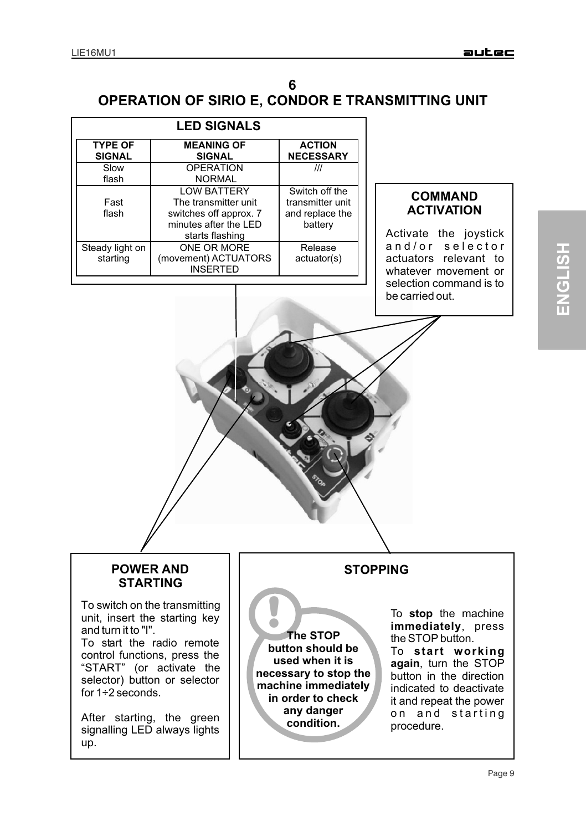## **6 OPERATION OF SIRIO E, CONDOR E TRANSMITTING UNIT**

| <b>LED SIGNALS</b>       |                        |                  |  |  |  |  |
|--------------------------|------------------------|------------------|--|--|--|--|
| <b>TYPE OF</b>           | <b>ACTION</b>          |                  |  |  |  |  |
| <b>SIGNAL</b>            | <b>SIGNAL</b>          | <b>NECESSARY</b> |  |  |  |  |
| <b>OPERATION</b><br>Slow |                        | ///              |  |  |  |  |
| flash                    | <b>NORMAL</b>          |                  |  |  |  |  |
|                          | <b>LOW BATTERY</b>     | Switch off the   |  |  |  |  |
| Fast                     | The transmitter unit   | transmitter unit |  |  |  |  |
| flash                    | switches off approx. 7 | and replace the  |  |  |  |  |
| minutes after the LED    |                        | battery          |  |  |  |  |
|                          | starts flashing        |                  |  |  |  |  |
| Steady light on          | ONE OR MORE            | Release          |  |  |  |  |
| starting                 | (movement) ACTUATORS   | actuator(s)      |  |  |  |  |
|                          | <b>INSERTED</b>        |                  |  |  |  |  |

#### **COMMAND ACTIVATION**

Activate the joystick and/or selector actuators relevant to whatever movement or selection command is to be carried out.

#### **POWER AND STARTING**

To switch on the transmitting unit, insert the starting key and turn it to "I".

To start the radio remote control functions, press the "START" (or activate the selector) button or selector for  $1\div 2$  seconds.

After starting, the green signalling LED always lights up.

! **The STOP button should be used when it is necessary to stop the machine immediately in order to check any danger condition.**

## **STOPPING**

To **stop** the machine **immediately**, press the STOP button.

To **start working again**, turn the STOP button in the direction indicated to deactivate it and repeat the power on and starting procedure.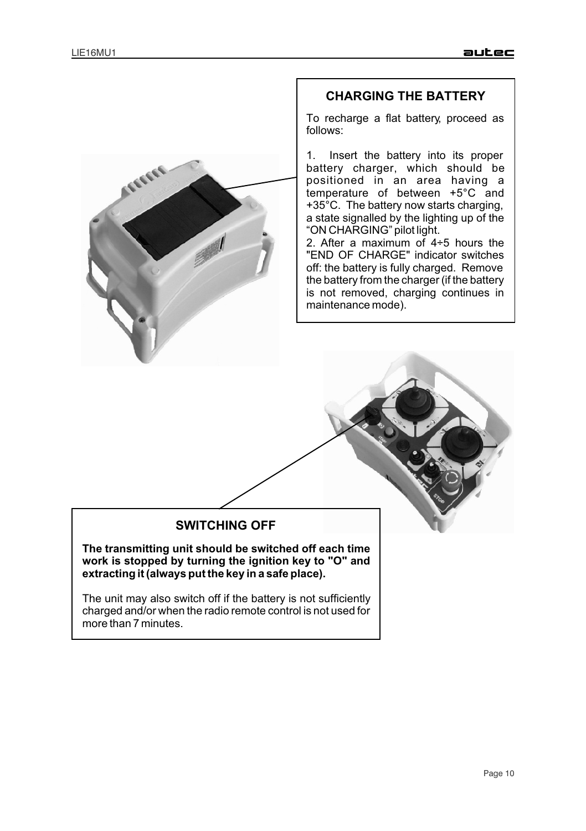

#### **CHARGING THE BATTERY**

To recharge a flat battery, proceed as follows:

1. Insert the battery into its proper battery charger, which should be positioned in an area having a temperature of between +5°C and +35°C. The battery now starts charging, a state signalled by the lighting up of the "ON CHARGING" pilot light.

2. After a maximum of 4÷5 hours the "END OF CHARGE" indicator switches off: the battery is fully charged. Remove the battery from the charger (if the battery is not removed, charging continues in maintenance mode).

## **SWITCHING OFF**

**The transmitting unit should be switched off each time work is stopped by turning the ignition key to "O" and extracting it (always put the key in a safe place).**

The unit may also switch off if the battery is not sufficiently charged and/or when the radio remote control is not used for more than 7 minutes.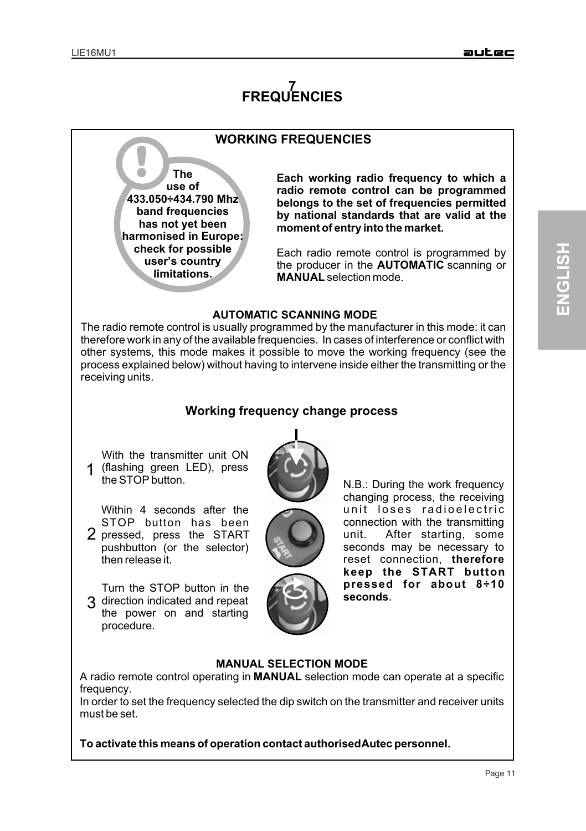# **7 FREQUENCIES**

## **WORKING FREQUENCIES**

**The use of 433.050÷434.790 Mhz band frequencies has not yet been harmonised in Europe: check for possible user's country limitations.** 

**Each working radio frequency to which a radio remote control can be programmed belongs to the set of frequencies permitted by national standards that are valid at the moment of entry into the market.**

Each radio remote control is programmed by the producer in the **AUTOMATIC** scanning or **MANUAL** selection mode.

#### **AUTOMATIC SCANNING MODE**

The radio remote control is usually programmed by the manufacturer in this mode: it can therefore work in any of the available frequencies. In cases of interference or conflict with other systems, this mode makes it possible to move the working frequency (see the process explained below) without having to intervene inside either the transmitting or the receiving units.

### **Working frequency change process**

1 (flashing green LED), press With the transmitter unit ON the STOP button.

Within 4 seconds after the STOP button has been 2 pressed, press the START pushbutton (or the selector) then release it.

3 direction indicated and repeat Turn the STOP button in the the power on and starting procedure.



N.B.: During the work frequency changing process, the receiving unit loses radioelectric connection with the transmitting unit. After starting, some seconds may be necessary to reset connection, **therefore keep the START button pressed for about 8÷10 seconds**.

#### **MANUAL SELECTION MODE**

A radio remote control operating in **MANUAL** selection mode can operate at a specific frequency.

In order to set the frequency selected the dip switch on the transmitter and receiver units must be set.

**To activate this means of operation contact authorised Autec personnel.**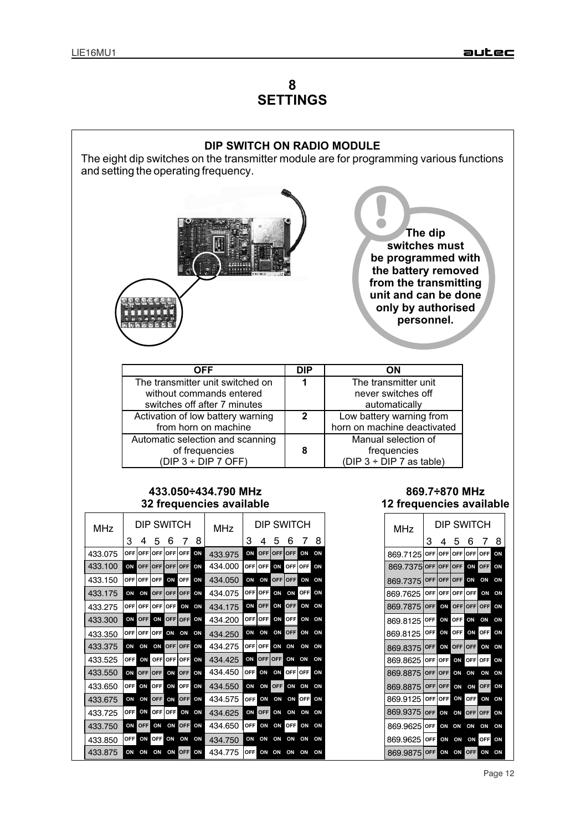# **8 SETTINGS**



Page 12